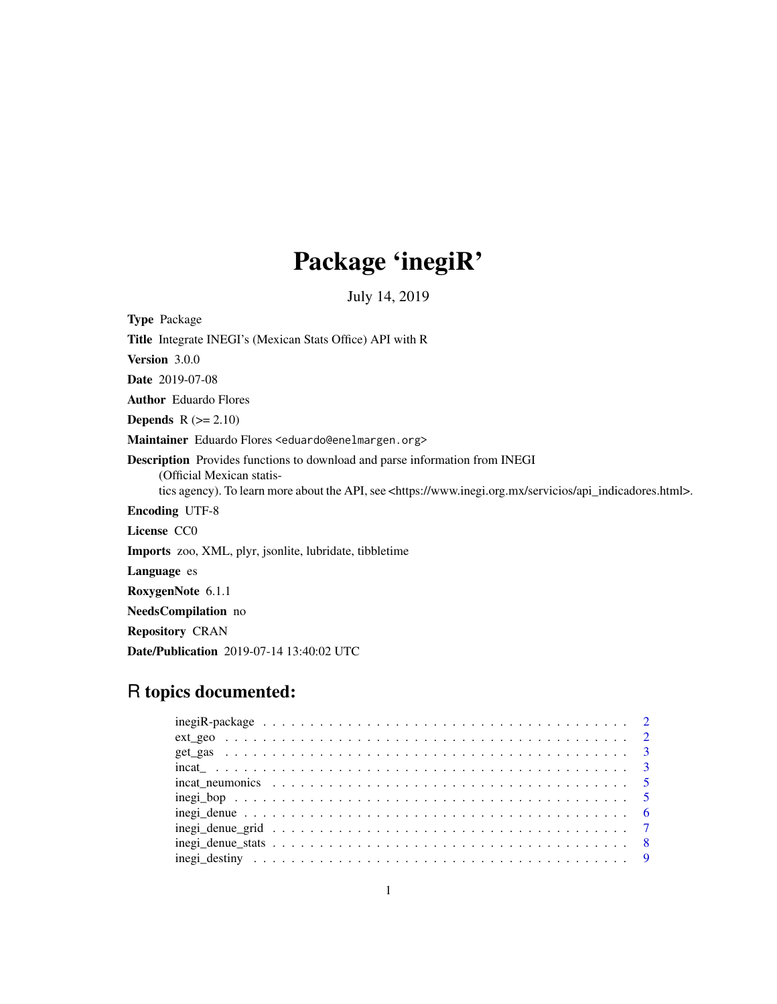# Package 'inegiR'

July 14, 2019

Type Package Title Integrate INEGI's (Mexican Stats Office) API with R Version 3.0.0 Date 2019-07-08 Author Eduardo Flores **Depends**  $R$  ( $>= 2.10$ ) Maintainer Eduardo Flores <eduardo@enelmargen.org> Description Provides functions to download and parse information from INEGI (Official Mexican statistics agency). To learn more about the API, see <https://www.inegi.org.mx/servicios/api\_indicadores.html>. Encoding UTF-8 License CC0 Imports zoo, XML, plyr, jsonlite, lubridate, tibbletime Language es RoxygenNote 6.1.1 NeedsCompilation no Repository CRAN Date/Publication 2019-07-14 13:40:02 UTC

# R topics documented: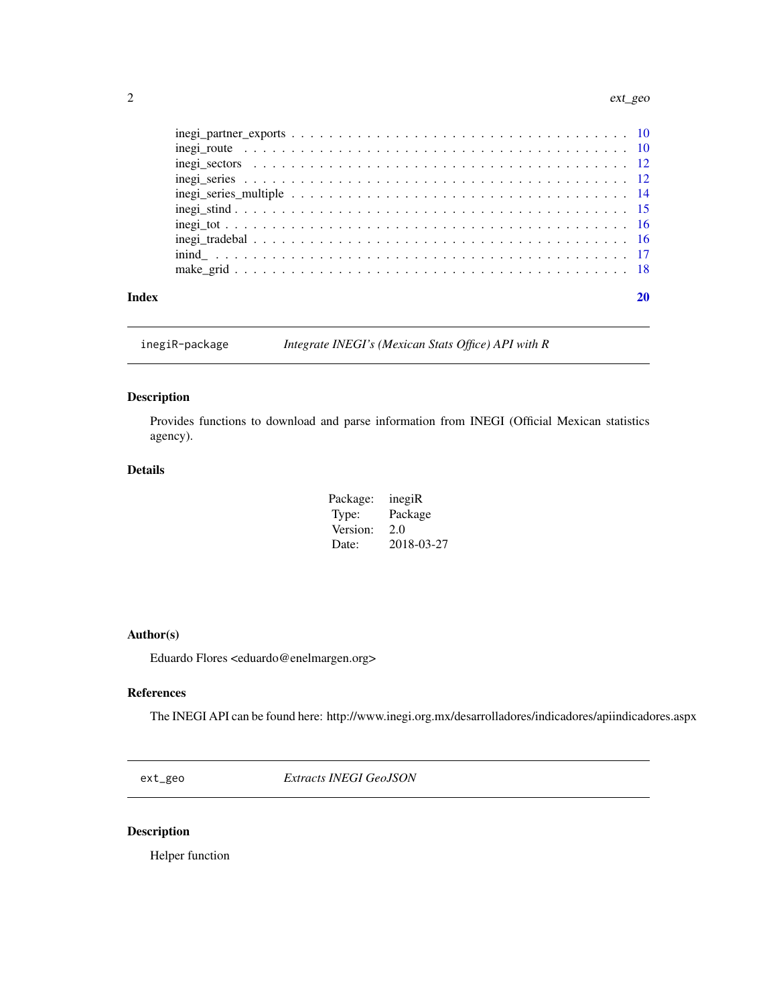#### <span id="page-1-0"></span>2 ext\_geo

| Index |                                                                                                                         |  |
|-------|-------------------------------------------------------------------------------------------------------------------------|--|
|       |                                                                                                                         |  |
|       |                                                                                                                         |  |
|       |                                                                                                                         |  |
|       |                                                                                                                         |  |
|       |                                                                                                                         |  |
|       | $inegi\_series\_multiple \ldots \ldots \ldots \ldots \ldots \ldots \ldots \ldots \ldots \ldots \ldots \ldots \ldots 14$ |  |
|       |                                                                                                                         |  |
|       |                                                                                                                         |  |
|       |                                                                                                                         |  |
|       |                                                                                                                         |  |

inegiR-package *Integrate INEGI's (Mexican Stats Office) API with R*

#### Description

Provides functions to download and parse information from INEGI (Official Mexican statistics agency).

#### Details

| Package: | inegiR     |
|----------|------------|
| Type:    | Package    |
| Version: | 2.0        |
| Date:    | 2018-03-27 |

#### Author(s)

Eduardo Flores <eduardo@enelmargen.org>

#### References

The INEGI API can be found here: http://www.inegi.org.mx/desarrolladores/indicadores/apiindicadores.aspx

ext\_geo *Extracts INEGI GeoJSON*

#### Description

Helper function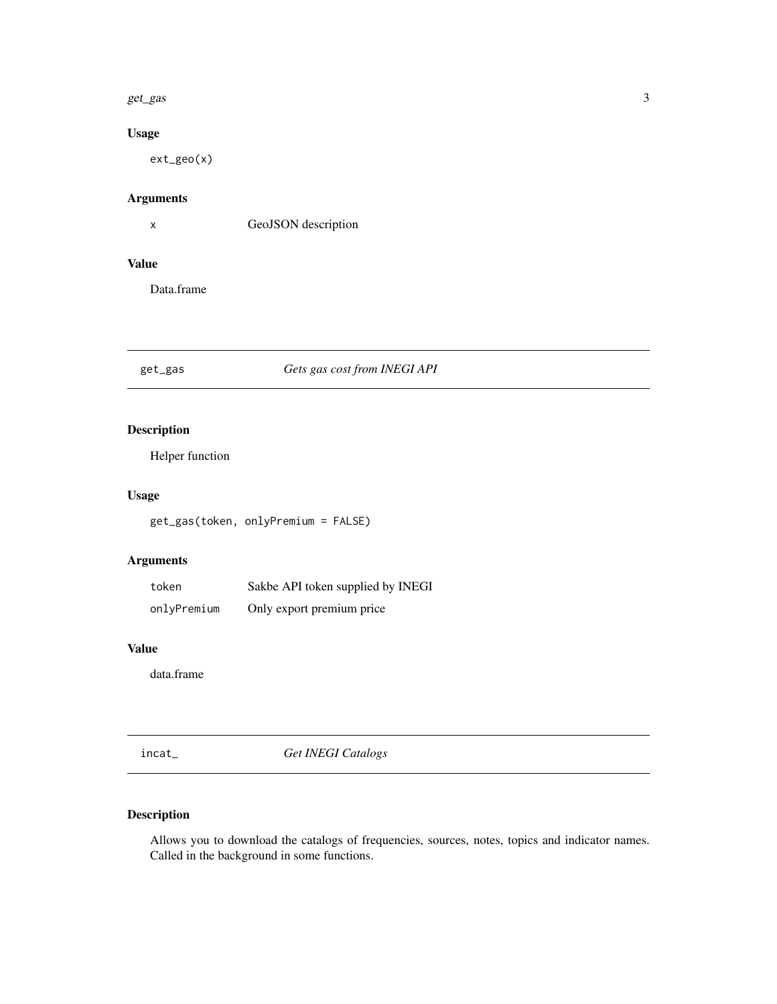#### <span id="page-2-0"></span>get\_gas 3

#### Usage

ext\_geo(x)

#### Arguments

x GeoJSON description

#### Value

Data.frame

#### get\_gas *Gets gas cost from INEGI API*

#### Description

Helper function

#### Usage

get\_gas(token, onlyPremium = FALSE)

#### Arguments

| token       | Sakbe API token supplied by INEGI |
|-------------|-----------------------------------|
| onlyPremium | Only export premium price         |

#### Value

data.frame

incat\_ *Get INEGI Catalogs*

#### Description

Allows you to download the catalogs of frequencies, sources, notes, topics and indicator names. Called in the background in some functions.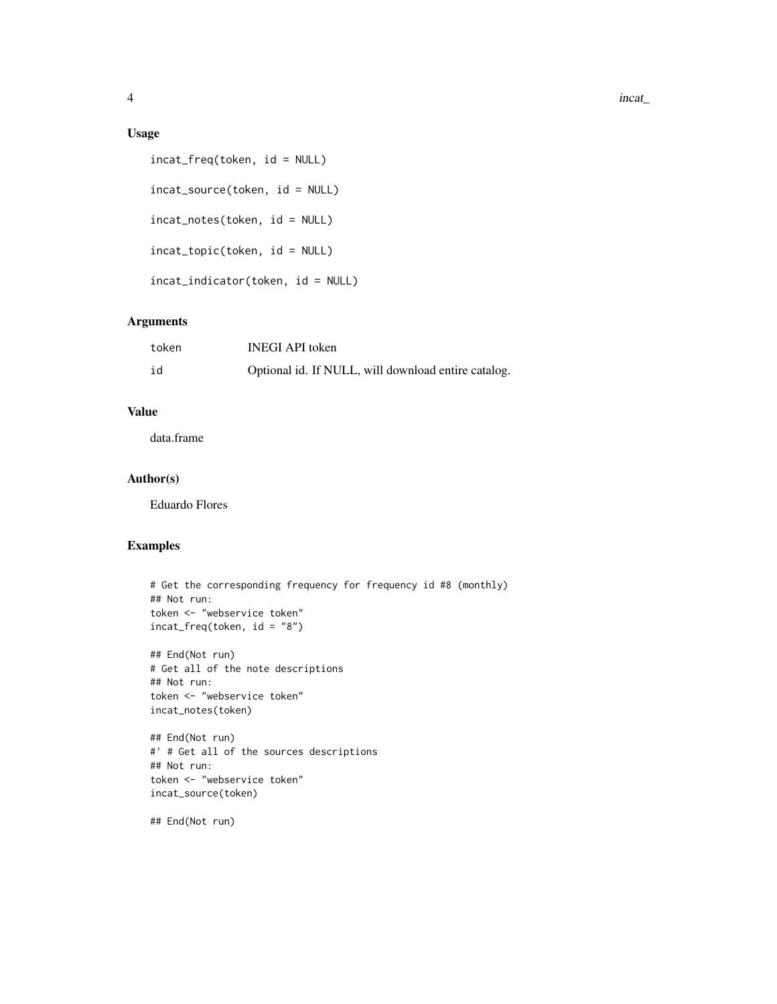#### Usage

```
incat_freq(token, id = NULL)
incat_source(token, id = NULL)
incat_notes(token, id = NULL)
incat_topic(token, id = NULL)
incat_indicator(token, id = NULL)
```
#### Arguments

| token | <b>INEGI API</b> token                              |
|-------|-----------------------------------------------------|
| id    | Optional id. If NULL, will download entire catalog. |

### Value

data.frame

#### Author(s)

Eduardo Flores

#### Examples

```
# Get the corresponding frequency for frequency id #8 (monthly)
## Not run:
token <- "webservice token"
incat_freq(token, id = "8")
## End(Not run)
# Get all of the note descriptions
## Not run:
token <- "webservice token"
incat_notes(token)
## End(Not run)
#' # Get all of the sources descriptions
## Not run:
token <- "webservice token"
incat_source(token)
```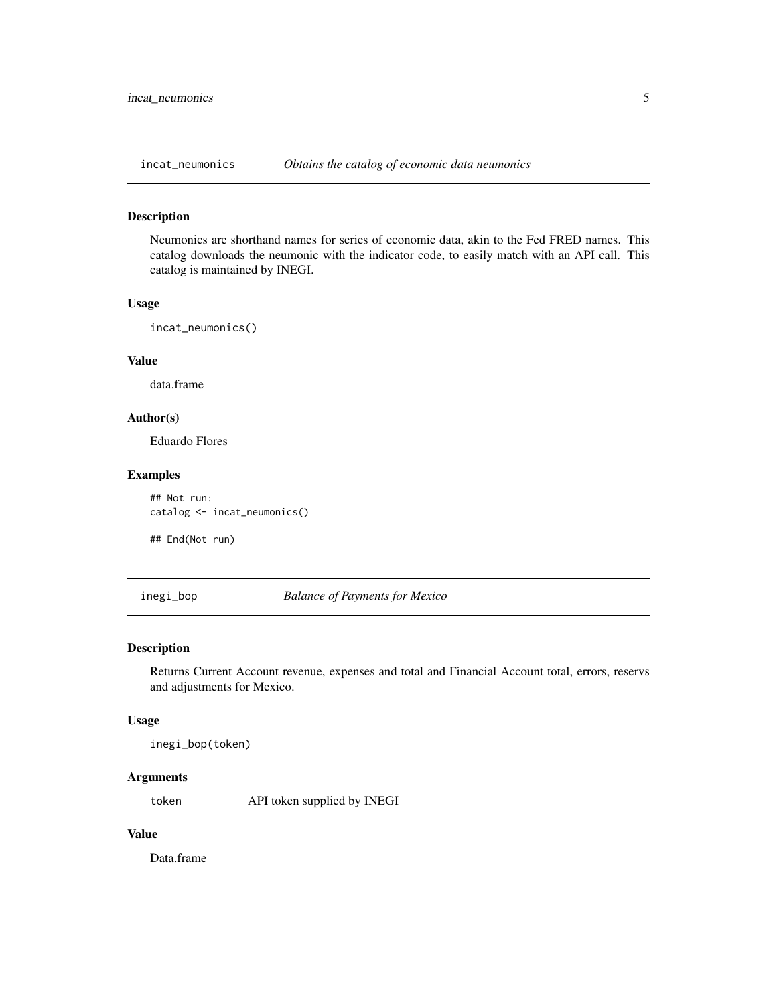<span id="page-4-0"></span>

Neumonics are shorthand names for series of economic data, akin to the Fed FRED names. This catalog downloads the neumonic with the indicator code, to easily match with an API call. This catalog is maintained by INEGI.

#### Usage

```
incat_neumonics()
```
#### Value

data.frame

#### Author(s)

Eduardo Flores

#### Examples

## Not run: catalog <- incat\_neumonics()

## End(Not run)

#### inegi\_bop *Balance of Payments for Mexico*

#### Description

Returns Current Account revenue, expenses and total and Financial Account total, errors, reservs and adjustments for Mexico.

#### Usage

inegi\_bop(token)

#### Arguments

token API token supplied by INEGI

#### Value

Data.frame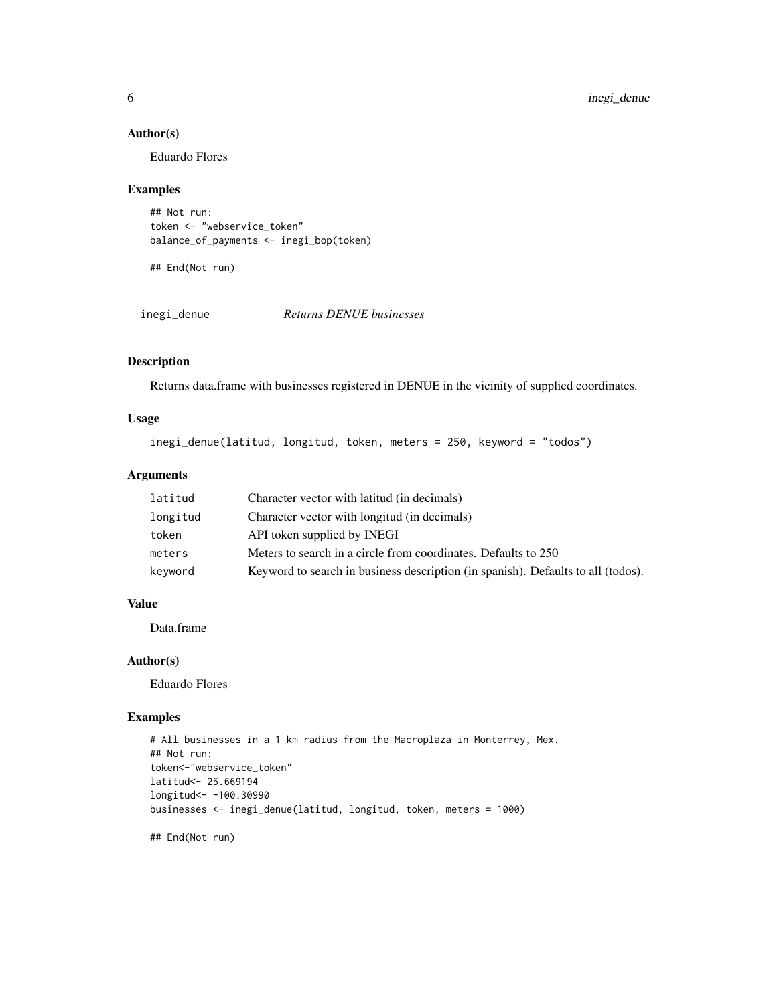#### <span id="page-5-0"></span>Author(s)

Eduardo Flores

#### Examples

```
## Not run:
token <- "webservice_token"
balance_of_payments <- inegi_bop(token)
```
## End(Not run)

inegi\_denue *Returns DENUE businesses*

#### Description

Returns data.frame with businesses registered in DENUE in the vicinity of supplied coordinates.

#### Usage

inegi\_denue(latitud, longitud, token, meters = 250, keyword = "todos")

#### Arguments

| latitud  | Character vector with latitud (in decimals)                                      |
|----------|----------------------------------------------------------------------------------|
| longitud | Character vector with longitud (in decimals)                                     |
| token    | API token supplied by INEGI                                                      |
| meters   | Meters to search in a circle from coordinates. Defaults to 250                   |
| keyword  | Keyword to search in business description (in spanish). Defaults to all (todos). |

#### Value

Data.frame

#### Author(s)

Eduardo Flores

#### Examples

```
# All businesses in a 1 km radius from the Macroplaza in Monterrey, Mex.
## Not run:
token<-"webservice_token"
latitud<- 25.669194
longitud<- -100.30990
businesses <- inegi_denue(latitud, longitud, token, meters = 1000)
```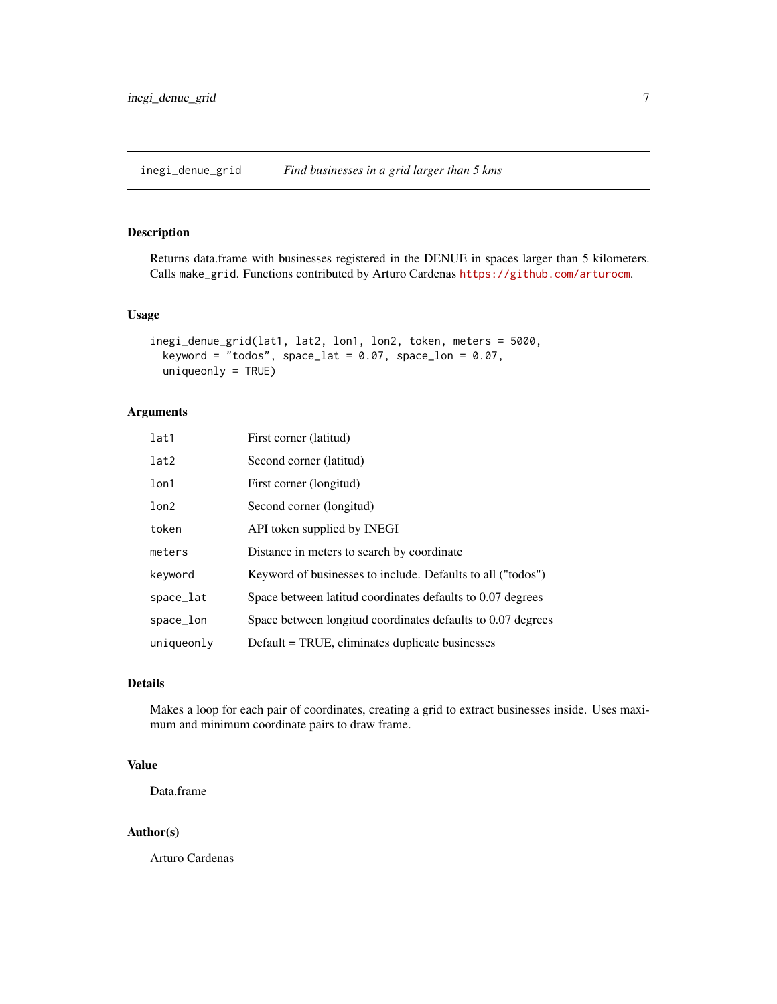<span id="page-6-0"></span>inegi\_denue\_grid *Find businesses in a grid larger than 5 kms*

#### Description

Returns data.frame with businesses registered in the DENUE in spaces larger than 5 kilometers. Calls make\_grid. Functions contributed by Arturo Cardenas <https://github.com/arturocm>.

#### Usage

```
inegi_denue_grid(lat1, lat2, lon1, lon2, token, meters = 5000,
 keyword = "todos", space_lat = 0.07, space_lon = 0.07,
 uniquenly = TRUE)
```
#### Arguments

| lat1             | First corner (latitud)                                      |
|------------------|-------------------------------------------------------------|
| lat2             | Second corner (latitud)                                     |
| 1 <sub>on1</sub> | First corner (longitud)                                     |
| lon2             | Second corner (longitud)                                    |
| token            | API token supplied by INEGI                                 |
| meters           | Distance in meters to search by coordinate                  |
| keyword          | Keyword of businesses to include. Defaults to all ("todos") |
| space_lat        | Space between latitud coordinates defaults to 0.07 degrees  |
| space_lon        | Space between longitud coordinates defaults to 0.07 degrees |
| uniqueonly       | Default = TRUE, eliminates duplicate businesses             |

#### Details

Makes a loop for each pair of coordinates, creating a grid to extract businesses inside. Uses maximum and minimum coordinate pairs to draw frame.

#### Value

Data.frame

#### Author(s)

Arturo Cardenas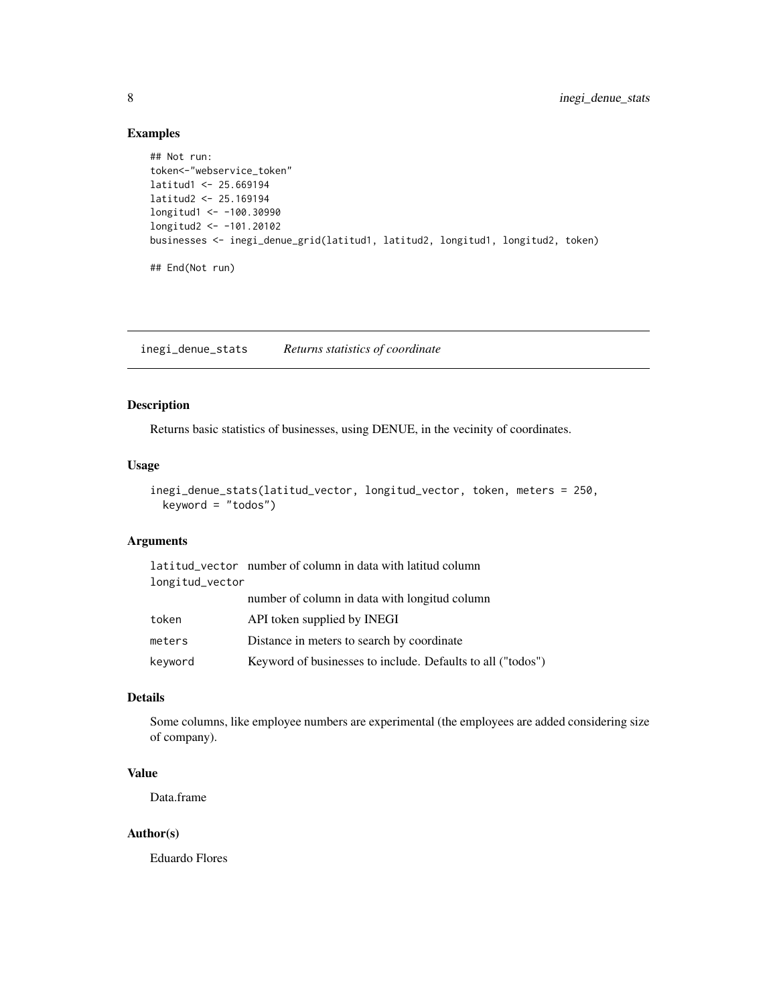#### Examples

```
## Not run:
token<-"webservice_token"
latitud1 <- 25.669194
latitud2 <- 25.169194
longitud1 <- -100.30990
longitud2 <- -101.20102
businesses <- inegi_denue_grid(latitud1, latitud2, longitud1, longitud2, token)
## End(Not run)
```
inegi\_denue\_stats *Returns statistics of coordinate*

#### Description

Returns basic statistics of businesses, using DENUE, in the vecinity of coordinates.

#### Usage

```
inegi_denue_stats(latitud_vector, longitud_vector, token, meters = 250,
 keyword = "todos")
```
#### Arguments

|                 | latitud_vector number of column in data with latitud column |
|-----------------|-------------------------------------------------------------|
| longitud_vector |                                                             |
|                 | number of column in data with longitud column               |
| token           | API token supplied by INEGI                                 |
| meters          | Distance in meters to search by coordinate                  |
| keyword         | Keyword of businesses to include. Defaults to all ("todos") |

### Details

Some columns, like employee numbers are experimental (the employees are added considering size of company).

#### Value

Data.frame

#### Author(s)

Eduardo Flores

<span id="page-7-0"></span>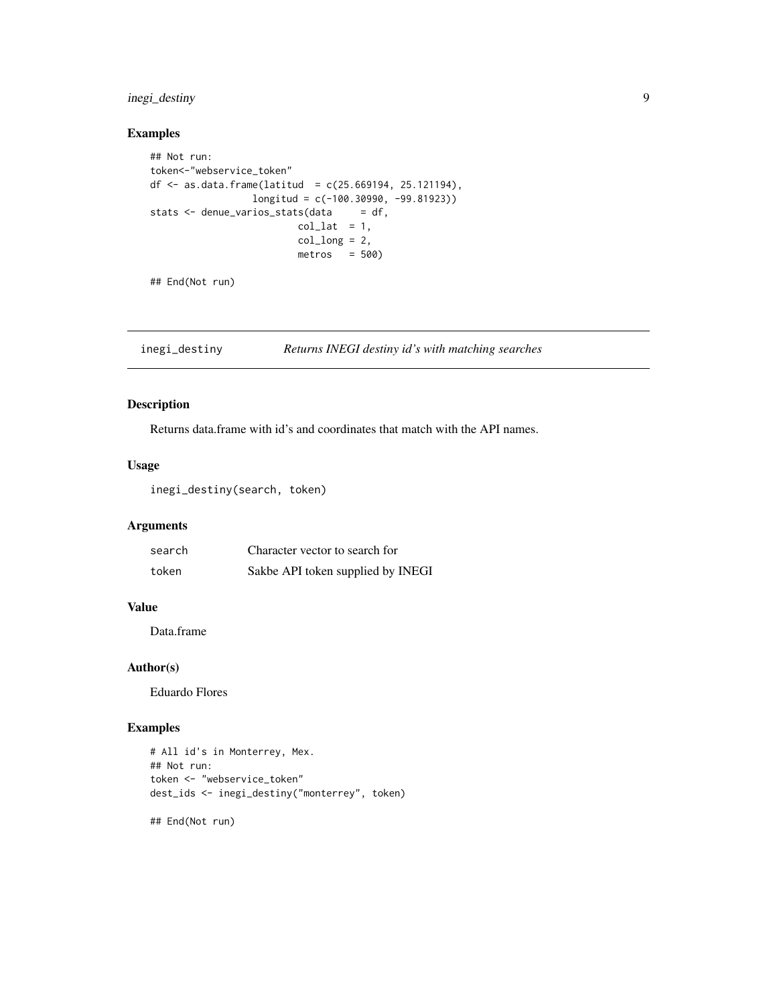#### <span id="page-8-0"></span>inegi\_destiny 9

#### Examples

```
## Not run:
token<-"webservice_token"
df \leq as.data.frame(latitud = c(25.669194, 25.121194),
                 longitud = c(-100.30990, -99.81923))
stats \leq denue_varios_stats(data = df,
                         col\_lat = 1,
                         col\_long = 2,
                         metros = 500
```
## End(Not run)

inegi\_destiny *Returns INEGI destiny id's with matching searches*

#### Description

Returns data.frame with id's and coordinates that match with the API names.

#### Usage

inegi\_destiny(search, token)

#### Arguments

| search | Character vector to search for    |
|--------|-----------------------------------|
| token  | Sakbe API token supplied by INEGI |

#### Value

Data.frame

#### Author(s)

Eduardo Flores

#### Examples

```
# All id's in Monterrey, Mex.
## Not run:
token <- "webservice_token"
dest_ids <- inegi_destiny("monterrey", token)
```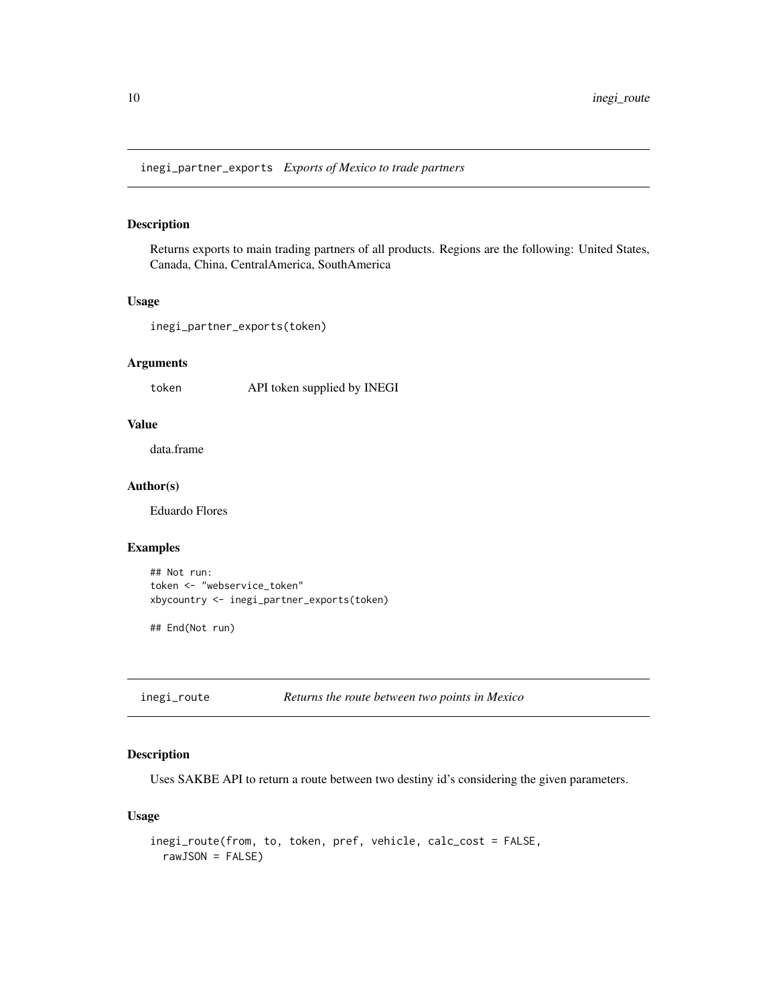<span id="page-9-0"></span>inegi\_partner\_exports *Exports of Mexico to trade partners*

#### Description

Returns exports to main trading partners of all products. Regions are the following: United States, Canada, China, CentralAmerica, SouthAmerica

#### Usage

inegi\_partner\_exports(token)

#### Arguments

token API token supplied by INEGI

#### Value

data.frame

#### Author(s)

Eduardo Flores

#### Examples

```
## Not run:
token <- "webservice_token"
xbycountry <- inegi_partner_exports(token)
```
## End(Not run)

inegi\_route *Returns the route between two points in Mexico*

#### Description

Uses SAKBE API to return a route between two destiny id's considering the given parameters.

#### Usage

```
inegi_route(from, to, token, pref, vehicle, calc_cost = FALSE,
 rawJSON = FALSE)
```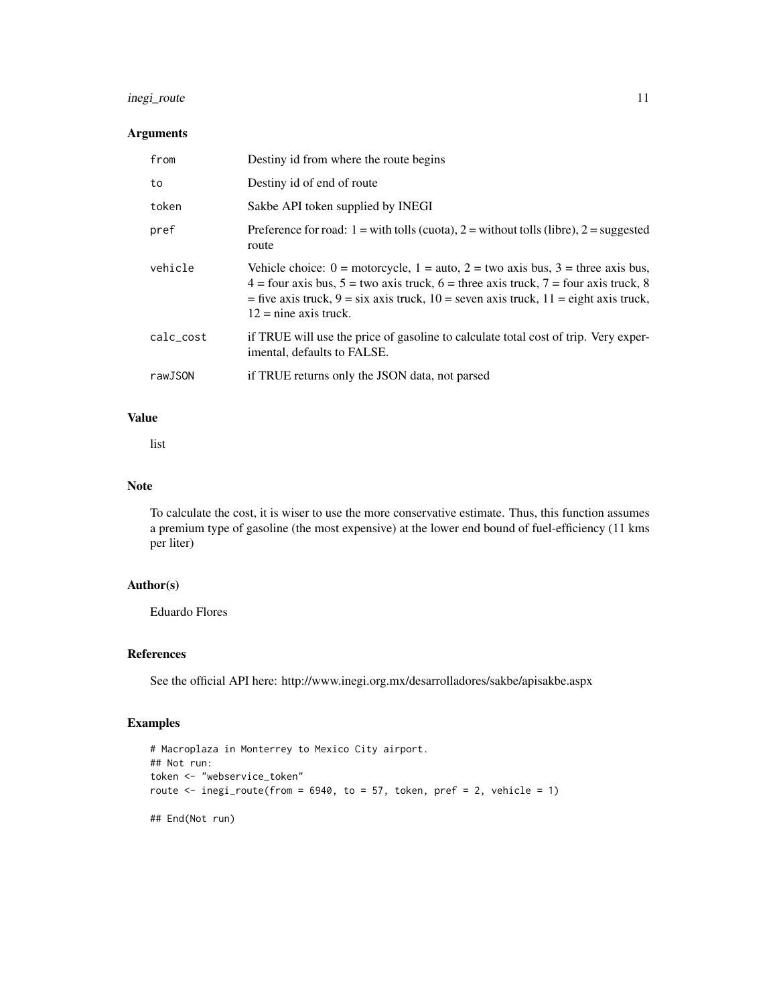#### inegi\_route 11

#### Arguments

| from      | Destiny id from where the route begins                                                                                                                                                                                                                                                                                                                               |
|-----------|----------------------------------------------------------------------------------------------------------------------------------------------------------------------------------------------------------------------------------------------------------------------------------------------------------------------------------------------------------------------|
| to        | Destiny id of end of route                                                                                                                                                                                                                                                                                                                                           |
| token     | Sakbe API token supplied by INEGI                                                                                                                                                                                                                                                                                                                                    |
| pref      | Preference for road: $1 =$ with tolls (cuota), $2 =$ without tolls (libre), $2 =$ suggested<br>route                                                                                                                                                                                                                                                                 |
| vehicle   | Vehicle choice: $0 = \text{motorcycle}$ , $1 = \text{auto}$ , $2 = \text{two axis bus}$ , $3 = \text{three axis bus}$ ,<br>$4 =$ four axis bus, $5 =$ two axis truck, $6 =$ three axis truck, $7 =$ four axis truck, 8<br>= five axis truck, $9 = \text{six axis}$ truck, $10 = \text{seven axis}$ truck, $11 = \text{eight axis}$ truck,<br>$12$ = nine axis truck. |
| calc_cost | if TRUE will use the price of gasoline to calculate total cost of trip. Very exper-<br>imental, defaults to FALSE.                                                                                                                                                                                                                                                   |
| rawJSON   | if TRUE returns only the JSON data, not parsed                                                                                                                                                                                                                                                                                                                       |

#### Value

list

#### Note

To calculate the cost, it is wiser to use the more conservative estimate. Thus, this function assumes a premium type of gasoline (the most expensive) at the lower end bound of fuel-efficiency (11 kms per liter)

#### Author(s)

Eduardo Flores

#### References

See the official API here: http://www.inegi.org.mx/desarrolladores/sakbe/apisakbe.aspx

#### Examples

```
# Macroplaza in Monterrey to Mexico City airport.
## Not run:
token <- "webservice_token"
route \le inegi_route(from = 6940, to = 57, token, pref = 2, vehicle = 1)
## End(Not run)
```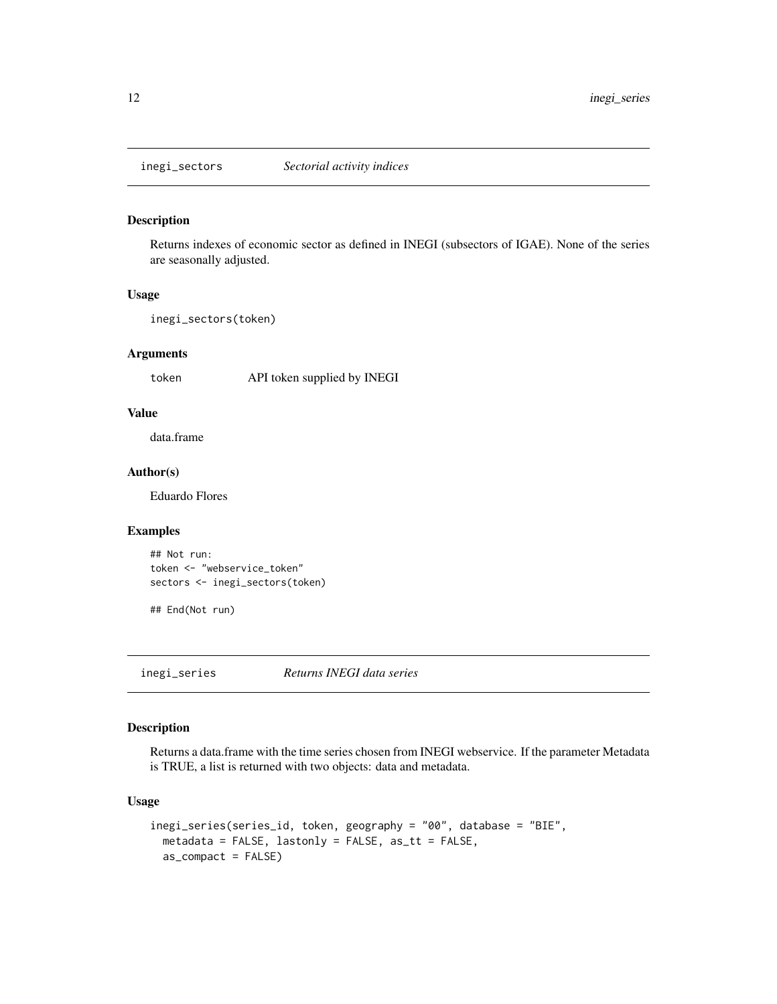<span id="page-11-0"></span>

Returns indexes of economic sector as defined in INEGI (subsectors of IGAE). None of the series are seasonally adjusted.

#### Usage

```
inegi_sectors(token)
```
#### Arguments

token API token supplied by INEGI

#### Value

data.frame

#### Author(s)

Eduardo Flores

#### Examples

```
## Not run:
token <- "webservice_token"
sectors <- inegi_sectors(token)
```
## End(Not run)

inegi\_series *Returns INEGI data series*

#### Description

Returns a data.frame with the time series chosen from INEGI webservice. If the parameter Metadata is TRUE, a list is returned with two objects: data and metadata.

#### Usage

```
inegi_series(series_id, token, geography = "00", database = "BIE",
 metadata = FALSE, lastonly = FALSE, as_tt = FALSE,
 as_compact = FALSE)
```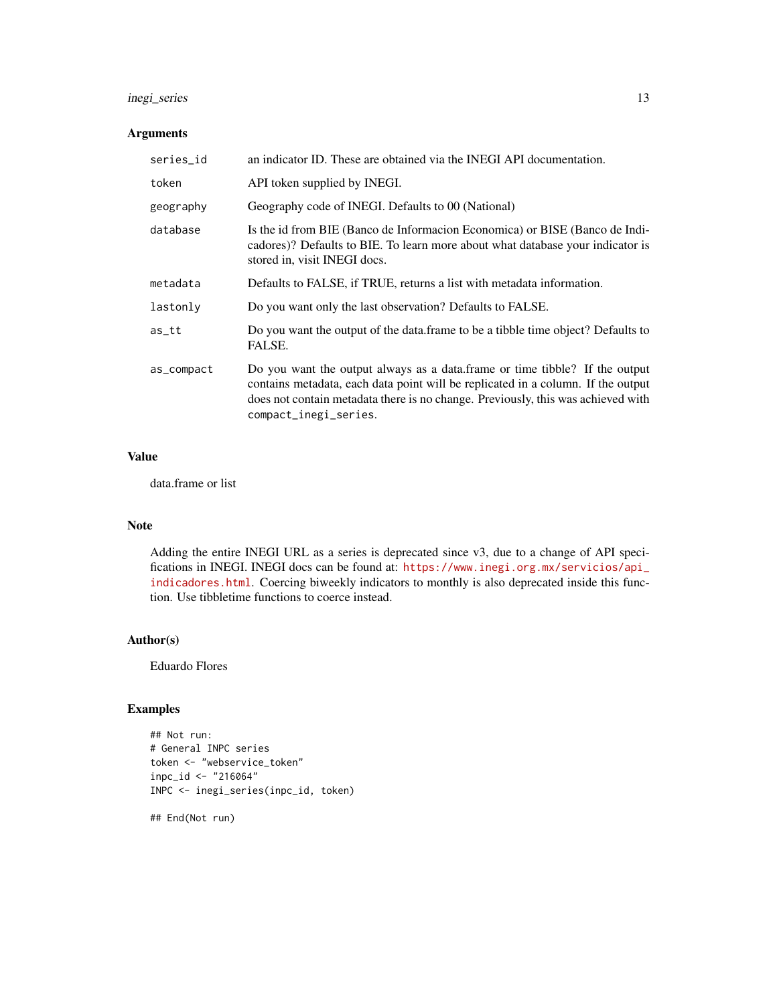#### inegi\_series 13

#### Arguments

| series_id  | an indicator ID. These are obtained via the INEGI API documentation.                                                                                                                                                                                                          |
|------------|-------------------------------------------------------------------------------------------------------------------------------------------------------------------------------------------------------------------------------------------------------------------------------|
| token      | API token supplied by INEGI.                                                                                                                                                                                                                                                  |
| geography  | Geography code of INEGI. Defaults to 00 (National)                                                                                                                                                                                                                            |
| database   | Is the id from BIE (Banco de Informacion Economica) or BISE (Banco de Indi-<br>cadores)? Defaults to BIE. To learn more about what database your indicator is<br>stored in, visit INEGI docs.                                                                                 |
| metadata   | Defaults to FALSE, if TRUE, returns a list with metadata information.                                                                                                                                                                                                         |
| lastonly   | Do you want only the last observation? Defaults to FALSE.                                                                                                                                                                                                                     |
| $as$ _tt   | Do you want the output of the data. frame to be a tibble time object? Defaults to<br>FALSE.                                                                                                                                                                                   |
| as_compact | Do you want the output always as a data. frame or time tibble? If the output<br>contains metadata, each data point will be replicated in a column. If the output<br>does not contain metadata there is no change. Previously, this was achieved with<br>compact_inegi_series. |

#### Value

data.frame or list

#### Note

Adding the entire INEGI URL as a series is deprecated since v3, due to a change of API specifications in INEGI. INEGI docs can be found at: [https://www.inegi.org.mx/servicios/api\\_](https://www.inegi.org.mx/servicios/api_indicadores.html) [indicadores.html](https://www.inegi.org.mx/servicios/api_indicadores.html). Coercing biweekly indicators to monthly is also deprecated inside this function. Use tibbletime functions to coerce instead.

#### Author(s)

Eduardo Flores

#### Examples

```
## Not run:
# General INPC series
token <- "webservice_token"
inpc_id <- "216064"
INPC <- inegi_series(inpc_id, token)
```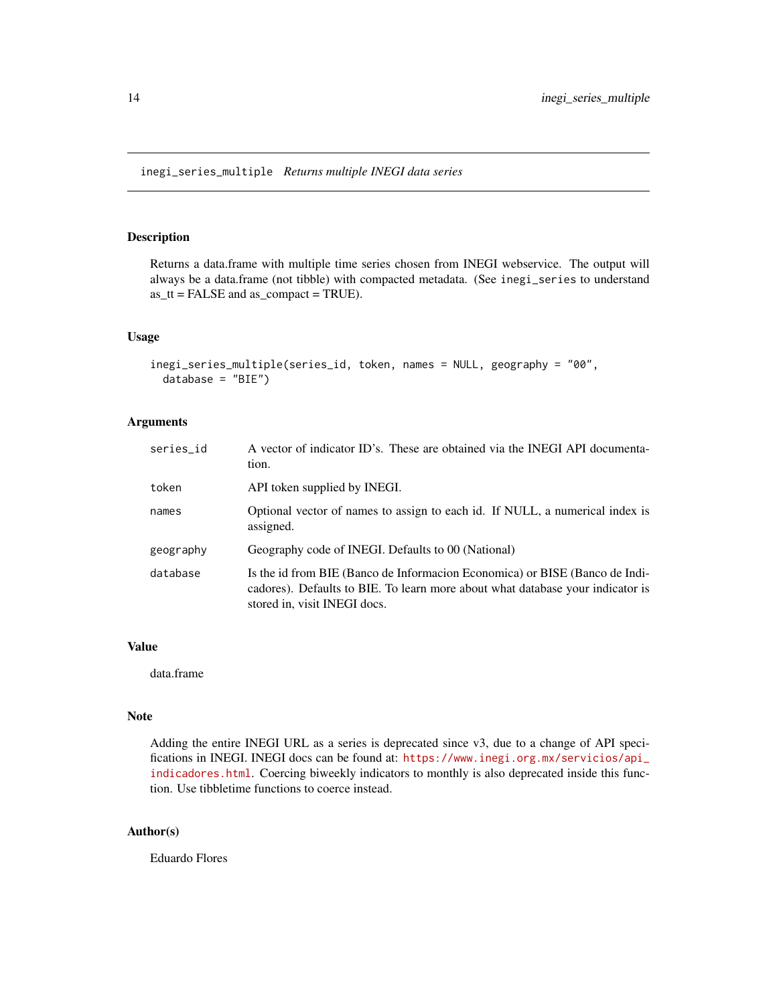<span id="page-13-0"></span>Returns a data.frame with multiple time series chosen from INEGI webservice. The output will always be a data.frame (not tibble) with compacted metadata. (See inegi\_series to understand as\_tt = FALSE and as\_compact = TRUE).

#### Usage

```
inegi_series_multiple(series_id, token, names = NULL, geography = "00",
 database = "BIE")
```
#### Arguments

| series_id | A vector of indicator ID's. These are obtained via the INEGI API documenta-<br>tion.                                                                                                          |
|-----------|-----------------------------------------------------------------------------------------------------------------------------------------------------------------------------------------------|
| token     | API token supplied by INEGI.                                                                                                                                                                  |
| names     | Optional vector of names to assign to each id. If NULL, a numerical index is<br>assigned.                                                                                                     |
| geography | Geography code of INEGI. Defaults to 00 (National)                                                                                                                                            |
| database  | Is the id from BIE (Banco de Informacion Economica) or BISE (Banco de Indi-<br>cadores). Defaults to BIE. To learn more about what database your indicator is<br>stored in, visit INEGI docs. |

#### Value

data.frame

#### Note

Adding the entire INEGI URL as a series is deprecated since v3, due to a change of API specifications in INEGI. INEGI docs can be found at: [https://www.inegi.org.mx/servicios/api\\_](https://www.inegi.org.mx/servicios/api_indicadores.html) [indicadores.html](https://www.inegi.org.mx/servicios/api_indicadores.html). Coercing biweekly indicators to monthly is also deprecated inside this function. Use tibbletime functions to coerce instead.

#### Author(s)

Eduardo Flores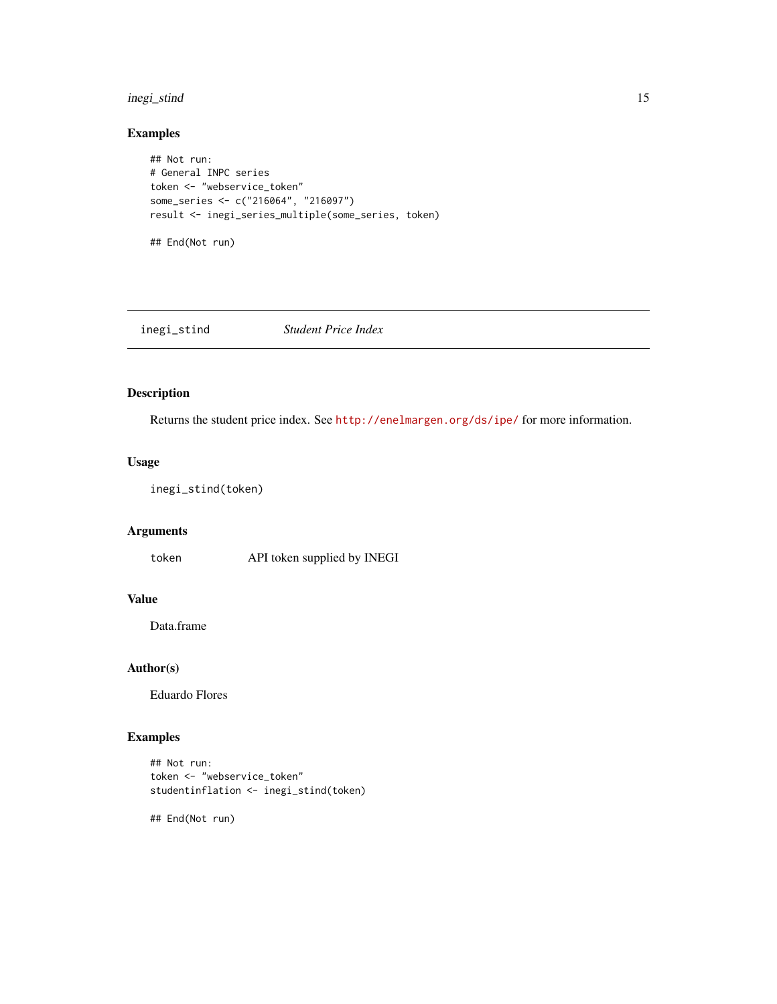#### <span id="page-14-0"></span>inegi\_stind 15

#### Examples

```
## Not run:
# General INPC series
token <- "webservice_token"
some_series <- c("216064", "216097")
result <- inegi_series_multiple(some_series, token)
```
## End(Not run)

inegi\_stind *Student Price Index*

#### Description

Returns the student price index. See <http://enelmargen.org/ds/ipe/> for more information.

#### Usage

```
inegi_stind(token)
```
#### Arguments

token API token supplied by INEGI

#### Value

Data.frame

#### Author(s)

Eduardo Flores

#### Examples

```
## Not run:
token <- "webservice_token"
studentinflation <- inegi_stind(token)
```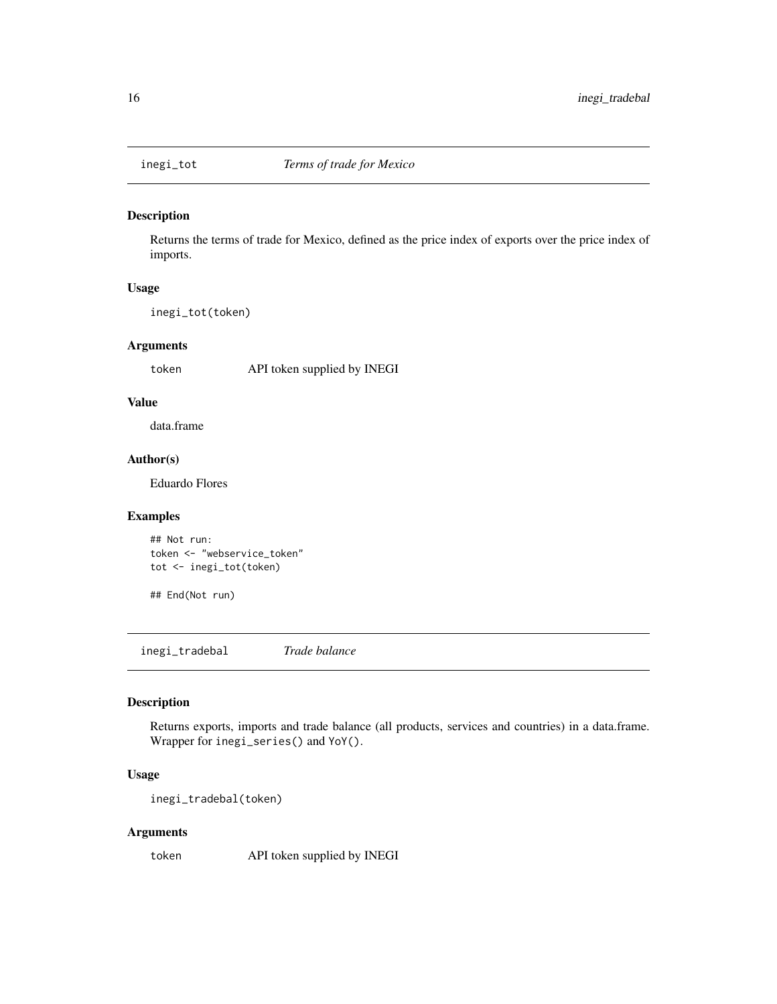<span id="page-15-0"></span>

Returns the terms of trade for Mexico, defined as the price index of exports over the price index of imports.

#### Usage

inegi\_tot(token)

#### Arguments

token API token supplied by INEGI

#### Value

data.frame

### Author(s)

Eduardo Flores

#### Examples

```
## Not run:
token <- "webservice_token"
tot <- inegi_tot(token)
```
## End(Not run)

inegi\_tradebal *Trade balance*

#### Description

Returns exports, imports and trade balance (all products, services and countries) in a data.frame. Wrapper for inegi\_series() and YoY().

#### Usage

inegi\_tradebal(token)

#### Arguments

token API token supplied by INEGI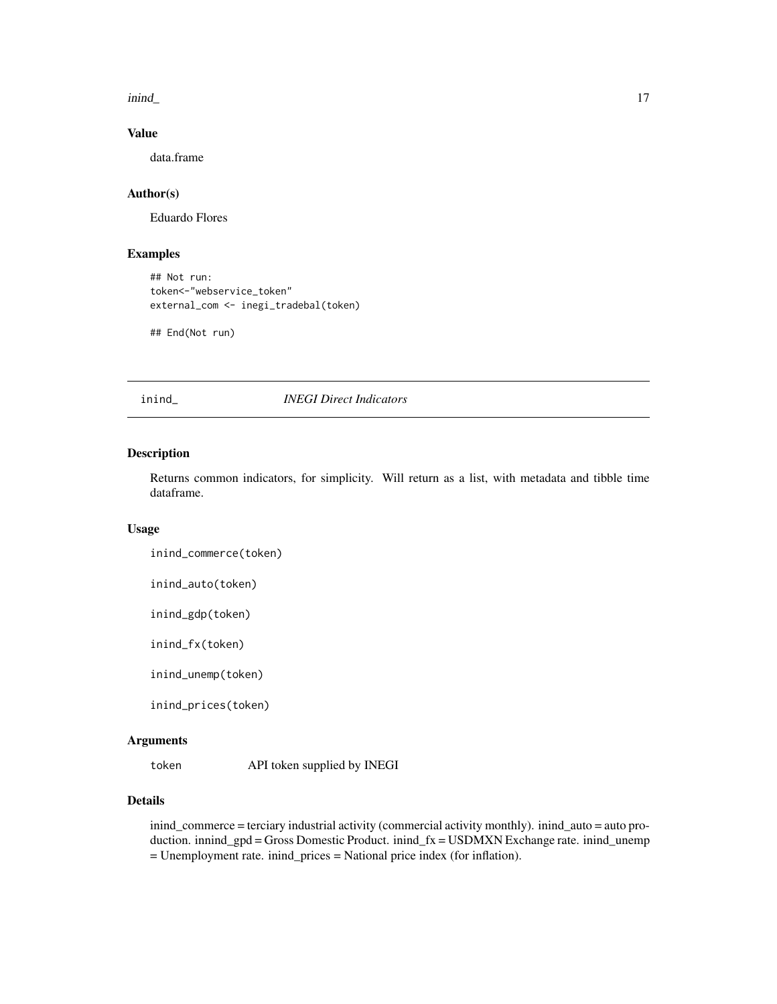<span id="page-16-0"></span>inind\_ 17

#### Value

data.frame

#### Author(s)

Eduardo Flores

#### Examples

## Not run: token<-"webservice\_token" external\_com <- inegi\_tradebal(token)

## End(Not run)

inind\_ *INEGI Direct Indicators*

#### Description

Returns common indicators, for simplicity. Will return as a list, with metadata and tibble time dataframe.

#### Usage

```
inind_commerce(token)
```
inind\_auto(token)

inind\_gdp(token)

inind\_fx(token)

inind\_unemp(token)

inind\_prices(token)

#### Arguments

token API token supplied by INEGI

#### Details

inind\_commerce = terciary industrial activity (commercial activity monthly). inind\_auto = auto production. innind\_gpd = Gross Domestic Product. inind\_fx = USDMXN Exchange rate. inind\_unemp = Unemployment rate. inind\_prices = National price index (for inflation).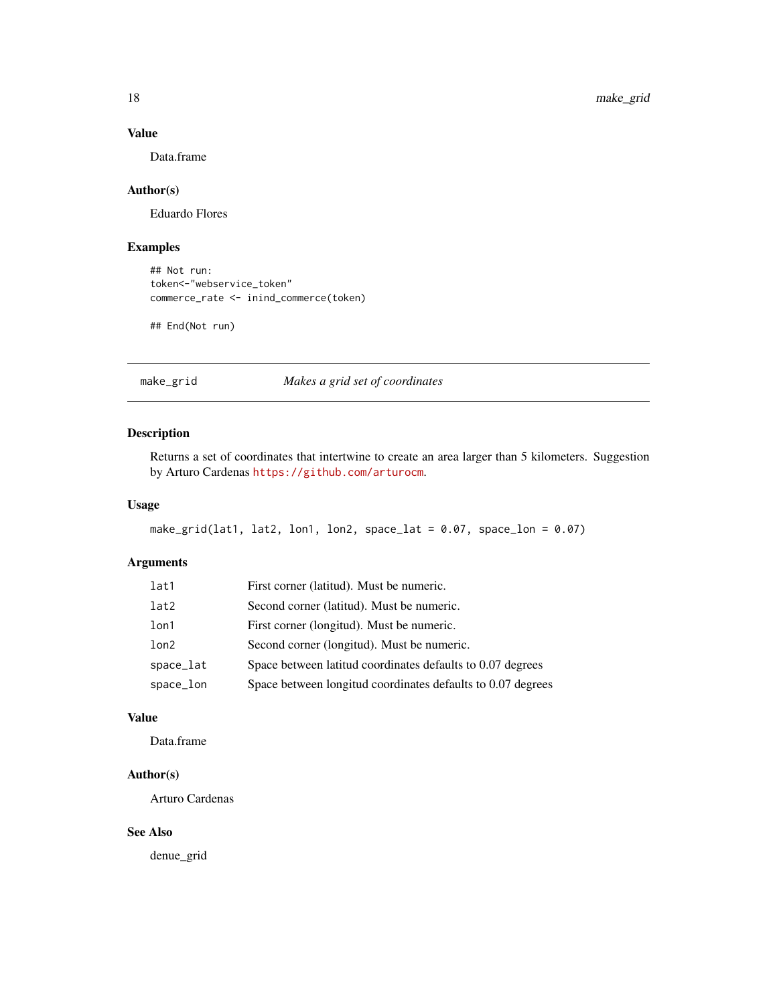#### Value

Data.frame

#### Author(s)

Eduardo Flores

#### Examples

```
## Not run:
token<-"webservice_token"
commerce_rate <- inind_commerce(token)
```
## End(Not run)

#### make\_grid *Makes a grid set of coordinates*

#### Description

Returns a set of coordinates that intertwine to create an area larger than 5 kilometers. Suggestion by Arturo Cardenas <https://github.com/arturocm>.

#### Usage

```
make_grid(lat1, lat2, lon1, lon2, space_lat = 0.07, space_lon = 0.07)
```
#### Arguments

| lat1      | First corner (latitud). Must be numeric.                    |
|-----------|-------------------------------------------------------------|
| lat2      | Second corner (latitud). Must be numeric.                   |
| lon1      | First corner (longitud). Must be numeric.                   |
| lon2      | Second corner (longitud). Must be numeric.                  |
| space_lat | Space between latitud coordinates defaults to 0.07 degrees  |
| space_lon | Space between longitud coordinates defaults to 0.07 degrees |

#### Value

Data.frame

### Author(s)

Arturo Cardenas

#### See Also

denue\_grid

<span id="page-17-0"></span>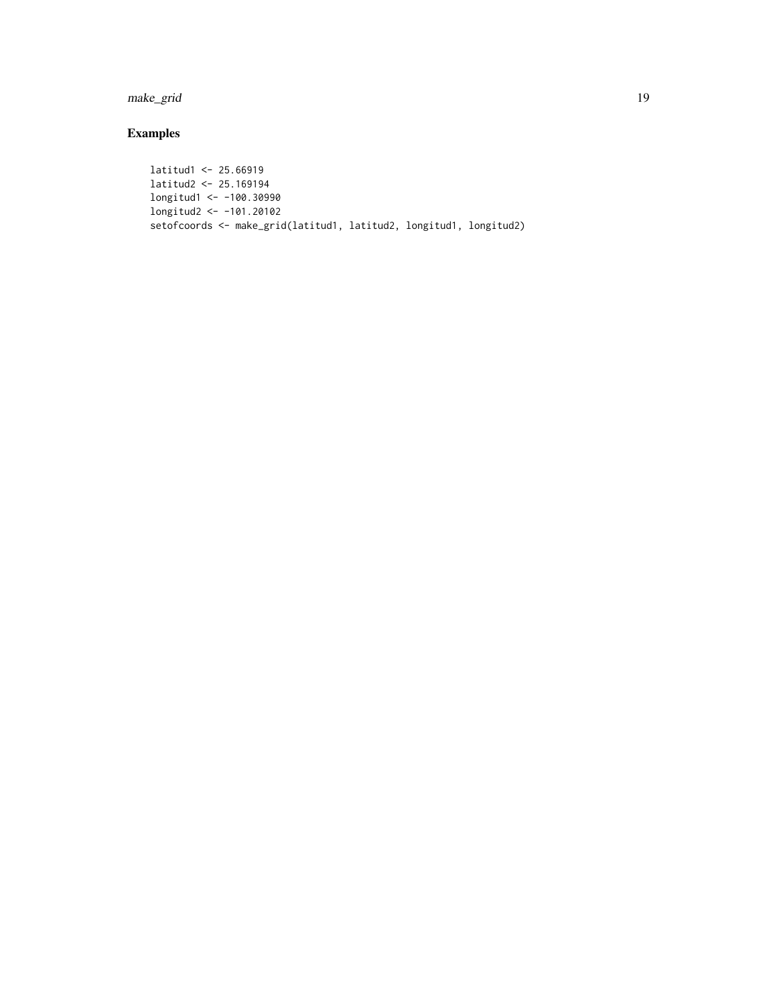make\_grid 19

## Examples

latitud1 <- 25.66919 latitud2 <- 25.169194 longitud1 <- -100.30990 longitud2 <- -101.20102 setofcoords <- make\_grid(latitud1, latitud2, longitud1, longitud2)